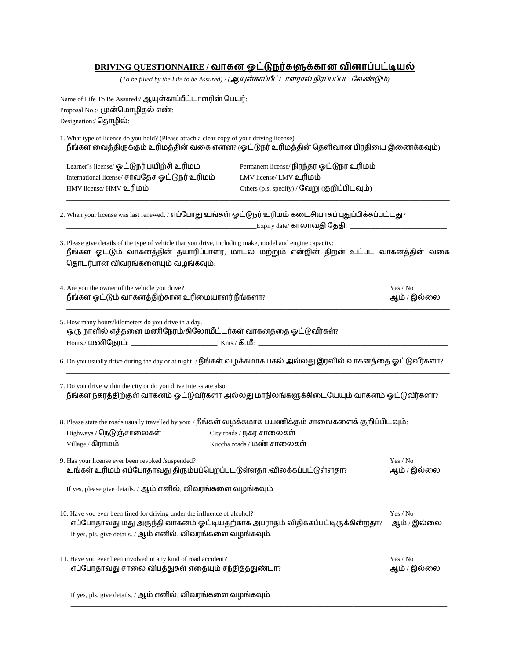## **DRIVING QUESTIONNAIRE /**

 $($ To be filled by the Life to be Assured)  $/$   $($ ஆயுள்காப்பீட்டாளரால் நிரப்பப்பட வேண்டும்

| 1. What type of license do you hold? (Please attach a clear copy of your driving license)<br>நீங்கள் வைத்திருக்கும் உரிமத்தின் வகை என்ன? (ஓட்டுநர் உரிமத்தின் தெளிவான பிரதியை இணைக்கவும்)                                                  |                                                                               |                         |  |
|--------------------------------------------------------------------------------------------------------------------------------------------------------------------------------------------------------------------------------------------|-------------------------------------------------------------------------------|-------------------------|--|
| Learner's license/ ஓட்டுநர் பயிற்சி உரிமம்<br>International license/ சர்வதேச ஓட்டுநர் உரிமம்                                                                                                                                               | Permanent license/ நிரந்தர ஓட்டுநர் உரிமம்<br>LMV license/ LMV உரிமம்         |                         |  |
| HMV license/ HMV உரிமம்                                                                                                                                                                                                                    | Others (pls. specify) / வேறு (குறிப்பிடவும்)                                  |                         |  |
| 2. When your license was last renewed. / எப்போது உங்கள் ஓட்டுநர் உரிமம் கடைசியாகப் புதுப்பிக்கப்பட்டது?                                                                                                                                    |                                                                               |                         |  |
|                                                                                                                                                                                                                                            |                                                                               |                         |  |
| 3. Please give details of the type of vehicle that you drive, including make, model and engine capacity:<br>நீங்கள் ஓட்டும் வாகனத்தின் தயாரிப்பாளர், மாடல் மற்றும் என்ஜின் திறன் உட்பட வாகனத்தின் வகை<br>தொடர்பான விவரங்களையும் வழங்கவும்: |                                                                               |                         |  |
| 4. Are you the owner of the vehicle you drive?<br>நீங்கள் ஓட்டும் வாகனத்திற்கான உரிமையாளர் நீங்களா?                                                                                                                                        |                                                                               | Yes / No<br>ஆம் / இல்லை |  |
| 5. How many hours/kilometers do you drive in a day.<br>ஒரு நாளில் எத்தனை மணிநேரம்/கிலோமீட்டர்கள் வாகனத்தை ஓட்டுவீர்கள்?                                                                                                                    |                                                                               |                         |  |
| 6. Do you usually drive during the day or at night. / நீங்கள் வழக்கமாக பகல் அல்லது இரவில் வாகனத்தை ஓட்டுவீர்களா?                                                                                                                           |                                                                               |                         |  |
| 7. Do you drive within the city or do you drive inter-state also.<br>நீங்கள் நகரத்திற்குள் வாகனம் ஓட்டுவீர்களா அல்லது மாநிலங்களுக்கிடையேயும் வாகனம் ஓட்டுவீர்களா?                                                                          |                                                                               |                         |  |
| 8. Please state the roads usually travelled by you: / நீங்கள் வழக்கமாக பயணிக்கும் சாலைகளைக் குறிப்பிடவும்:                                                                                                                                 |                                                                               |                         |  |
| Highways / நெடுஞ்சாலைகள்<br>Village / கிராமம்                                                                                                                                                                                              | City roads / நகர சாலைகள்<br>Kuccha roads / மண் சாலைகள்                        |                         |  |
| 9. Has your license ever been revoked /suspended?<br>உங்கள் உரிமம் எப்போதாவது திரும்பப்பெறப்பட்டுள்ளதா /விலக்கப்பட்டுள்ளதா?                                                                                                                |                                                                               | Yes / No<br>ஆம் / இல்லை |  |
| If yes, please give details. / ஆம் எனில், விவரங்களை வழங்கவும்                                                                                                                                                                              |                                                                               |                         |  |
| 10. Have you ever been fined for driving under the influence of alcohol?<br>If yes, pls. give details. / ஆம் எனில், விவரங்களை வழங்கவும்.                                                                                                   | எப்போதாவது மது அருந்தி வாகனம் ஓட்டியதற்காக அபராதம் விதிக்கப்பட்டிருக்கின்றதா? | Yes / No<br>ஆம் / இல்லை |  |
| 11. Have you ever been involved in any kind of road accident?<br>எப்போதாவது சாலை விபத்துகள் எதையும் சந்தித்ததுண்டா?                                                                                                                        | Yes / No<br>ஆம் / இல்லை                                                       |                         |  |
| If yes, pls. give details. / ஆம் எனில், விவரங்களை வழங்கவும்                                                                                                                                                                                |                                                                               |                         |  |